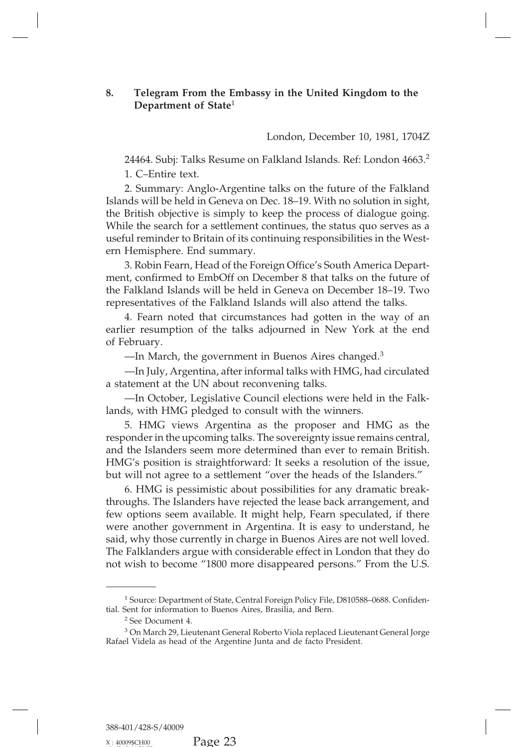## **8.** Telegram From the Embassy in the United Kingdom to the<br>Department of State<sup>1</sup> London, December 10, 1981, 1704Z **Telegram From the Embass<br>Department of State<sup>1</sup><br>164.6.11 T. W. P.** y in the United Kingdom to the<br>London, December 10, 1981, 1704Z<br>'alkland Islands. Ref: London 4663.<sup>2</sup>

24464. Subj: Talks Resume on Falkland Islands. Ref: London 4663.<sup>2</sup><br>London, December 10, 1981, 1704Z<br>24464. Subj: Talks Resume on Falkland Islands. Ref: London 4663.<sup>2</sup><br>1. C–Entire text.<br>2. Summary: Anglo-Argentine talks o London, December 10, 1981, 1704Z<br>24464. Subj: Talks Resume on Falkland Islands. Ref: London 4663.<sup>2</sup><br>1. C–Entire text.<br>2. Summary: Anglo-Argentine talks on the future of the Falkland<br>ids will be held in Geneva on Dec. 18–1 London, December 10, 1981, 1704Z<br>
24464. Subj: Talks Resume on Falkland Islands. Ref: London 4663.<sup>2</sup><br>
1. C–Entire text.<br>
2. Summary: Anglo-Argentine talks on the future of the Falkland<br>
Islands will be held in Geneva on D 24464. Subj: Talks Resume on Falkland Islands. Ref: London 4663.<sup>2</sup><br>1. C–Entire text.<br>2. Summary: Anglo-Argentine talks on the future of the Falkland<br>Islands will be held in Geneva on Dec. 18–19. With no solution in sight, 24464. Subj: Talks Kesume on Falkland Islands. Ker: London 4663.<sup>2</sup><br>1. C–Entire text.<br>2. Summary: Anglo-Argentine talks on the future of the Falkland<br>Islands will be held in Geneva on Dec. 18–19. With no solution in sight, 1. C–Entire text.<br>
2. Summary: Anglo-Argentine talks on the future of the Falkland<br>
Islands will be held in Geneva on Dec. 18–19. With no solution in sight,<br>
the British objective is simply to keep the process of dialogue 2. Summary: Anglo-Argentine tal<br>Islands will be held in Geneva on Dec.<br>the British objective is simply to keep<br>While the search for a settlement con-<br>useful reminder to Britain of its contin<br>ern Hemisphere. End summary.<br>3. nds will be held in Geneva on Dec. 18–19. With no solution in sight,<br>British objective is simply to keep the process of dialogue going.<br>le the search for a settlement continues, the status quo serves as a<br>ul reminder to Br

the British objective is simply to keep the process of dialogue going.<br>While the search for a settlement continues, the status quo serves as a<br>useful reminder to Britain of its continuing responsibilities in the West-<br>ern While the search tor a settlement continues, the status quo serves as a useful reminder to Britain of its continuing responsibilities in the West-<br>ern Hemisphere. End summary.<br>3. Robin Fearn, Head of the Foreign Office's S useful reminder to Britain of its continuing responsibilities in the West-<br>ern Hemisphere. End summary.<br>3. Robin Fearn, Head of the Foreign Office's South America Depart-<br>ment, confirmed to EmbOff on December 8 that talks Fremisphere. End summary.<br>
3. Robin Fearn, Head of the Foreign Office's South America Depart-<br>
t, confirmed to EmbOff on December 8 that talks on the future of<br>
Falkland Islands will be held in Geneva on December 18–19. Tw 3. Robin Fearn, Head of the Foreign Office's South America Department, confirmed to EmbOff on December 8 that talks on the future of the Falkland Islands will be held in Geneva on December 18–19. Two representatives of the

ment, confirmed<br>the Falkland Islar<br>representatives of<br>4. Fearn note<br>earlier resumptic<br>of February.<br>—In March, t<br>—In July, Arg Falkland Islands Will be held in Geneva on December 18–19. I<br>esentatives of the Falkland Islands will also attend the talks.<br>4. Fearn noted that circumstances had gotten in the way of<br>ier resumption of the talks adjourned 4. Fearn noted that circumstances had gotten in the way of an<br>ier resumption of the talks adjourned in New York at the end<br>ebruary.<br>—In March, the government in Buenos Aires changed.<sup>3</sup><br>—In July, Argentina, after informal 4. Fearn noted that circumstances had gotten in the way of an earlier resumption of the talks adjourned in New York at the end of February.<br>—In March, the government in Buenos Aires changed.<sup>3</sup><br>—In July, Argentina, after i

Exampla Council at The W Tork at the end-<br>
ebruary.<br>
—In March, the government in Buenos Aires changed.<sup>3</sup><br>
—In July, Argentina, after informal talks with HMG, had circulated<br>
atement at the UN about reconvening talks.<br>
—I

—In March, the government in Buenos Aires changed.<sup>3</sup><br>—In July, Argentina, after informal talks with HMG, had constant at the UN about reconvening talks.<br>—In October, Legislative Council elections were held in lands, with --In July, Argentina, after informal talks with HMG, had circulated<br>atement at the UN about reconvening talks.<br>--In October, Legislative Council elections were held in the Falk-<br>ls, with HMG pledged to consult with the win responder in the upcoming talks. The sovereignty issue remains central, a statement at the UN about reconvening talks.<br>
—In October, Legislative Council elections were held in the Falk-<br>
lands, with HMG pledged to consult with the winners.<br>
5. HMG views Argentina as the proposer and HMG as the —In October, Legislative Council elections were held in the Falklands, with HMG pledged to consult with the winners.<br>
5. HMG views Argentina as the proposer and HMG as the responder in the upcoming talks. The sovereignty i lands, with HMG pledged to consult with the winners.<br>
5. HMG views Argentina as the proposer and HMG as the<br>
responder in the upcoming talks. The sovereignty issue remains central,<br>
and the Islanders seem more determined t responder in the upcoming talks. The sovereignty issue remains central, and the Islanders seem more determined than ever to remain British. HMG's position is straightforward: It seeks a resolution of the issue, but will no

responder in the upcoming talks. The sovereignty issue remains central, and the Islanders seem more determined than ever to remain British. HMG's position is straightforward: It seeks a resolution of the issue, but will no and the Islanders seem more determined than ever to remain British.<br>HMG's position is straightforward: It seeks a resolution of the issue,<br>but will not agree to a settlement "over the heads of the Islanders."<br>6. HMG is pes HMG's position is straightforward: It seeks a resolution of the issue,<br>but will not agree to a settlement "over the heads of the Islanders."<br>6. HMG is pessimistic about possibilities for any dramatic break-<br>throughs. The I but will not agree to a settlement "over the heads of the Islanders."<br>6. HMG is pessimistic about possibilities for any dramatic break-<br>throughs. The Islanders have rejected the lease back arrangement, and<br>few options seem 6. HMG is pessimistic about possibilities for any dramatic break-<br>throughs. The Islanders have rejected the lease back arrangement, and<br>few options seem available. It might help, Fearn speculated, if there<br>were another gov throughs. The Islanders have rejected the lease back arrangement, and<br>few options seem available. It might help, Fearn speculated, if there<br>were another government in Argentina. It is easy to understand, he<br>said, why those The Falklanders argue with considerable effect in London that they do<br>not wish to become "1800 more disappeared persons." From the U.S.<br><br>1 Source: Department of State, Central Foreign Policy File, D810588–0688. Confiden-<br>t

the U.S.<br>
The U.S.<br>
The U.S.<br>
The U.S.<br>
The U.S.<br>
The U.S.<br>
The U.S.<br>
The U.S.<br>
The Survey Department of State, Central Foreign Policy File, D810588–0688. Confidential. Sent for information to Buenos Aires, Brasilia, and B

 $^3$  On March 29, Lieutenant General Roberto Viola replaced Lieutenant General Jorge Rafael Videla as head of the Argentine Junta and de facto President.